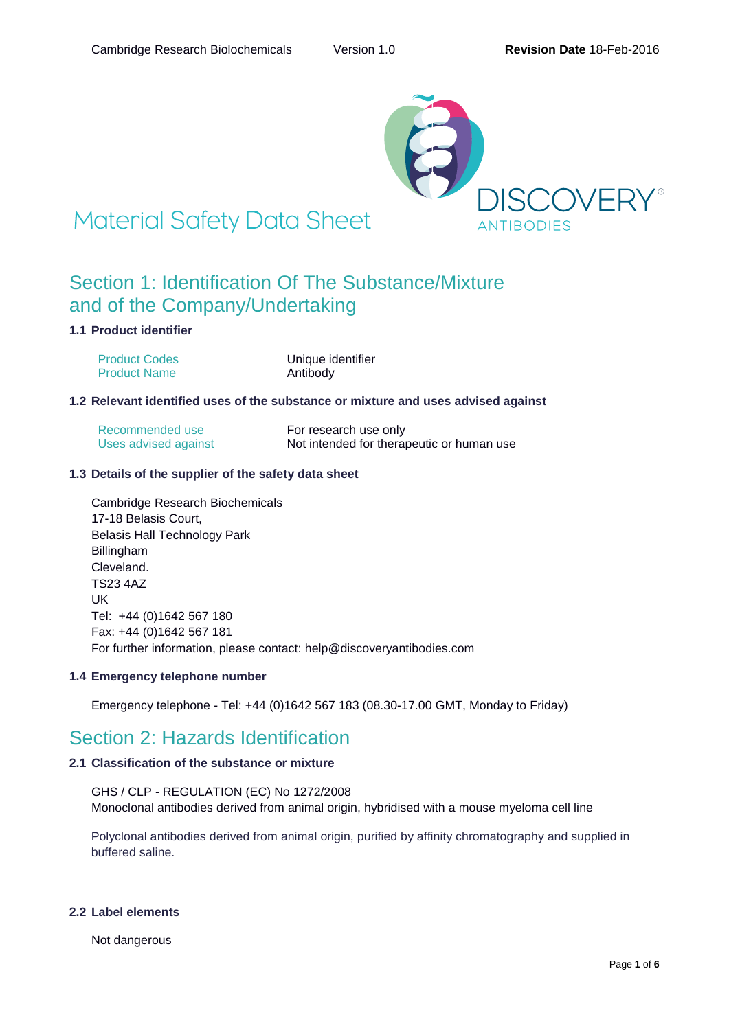

# **Material Safety Data Sheet**

### Section 1: Identification Of The Substance/Mixture and of the Company/Undertaking

### **1.1 Product identifier**

| <b>Product Codes</b> | Unique identifier |
|----------------------|-------------------|
| <b>Product Name</b>  | Antibody          |

### **1.2 Relevant identified uses of the substance or mixture and uses advised against**

| Recommended use      | For research use only                     |
|----------------------|-------------------------------------------|
| Uses advised against | Not intended for therapeutic or human use |

### **1.3 Details of the supplier of the safety data sheet**

Cambridge Research Biochemicals 17-18 Belasis Court, Belasis Hall Technology Park Billingham Cleveland. TS23 4AZ UK Tel: +44 (0)1642 567 180 Fax: +44 (0)1642 567 181 For further information, please contact: help@discoveryantibodies.com

### **1.4 Emergency telephone number**

Emergency telephone - Tel: +44 (0)1642 567 183 (08.30-17.00 GMT, Monday to Friday)

### Section 2: Hazards Identification

### **2.1 Classification of the substance or mixture**

GHS / CLP - REGULATION (EC) No 1272/2008 Monoclonal antibodies derived from animal origin, hybridised with a mouse myeloma cell line

Polyclonal antibodies derived from animal origin, purified by affinity chromatography and supplied in buffered saline.

### **2.2 Label elements**

Not dangerous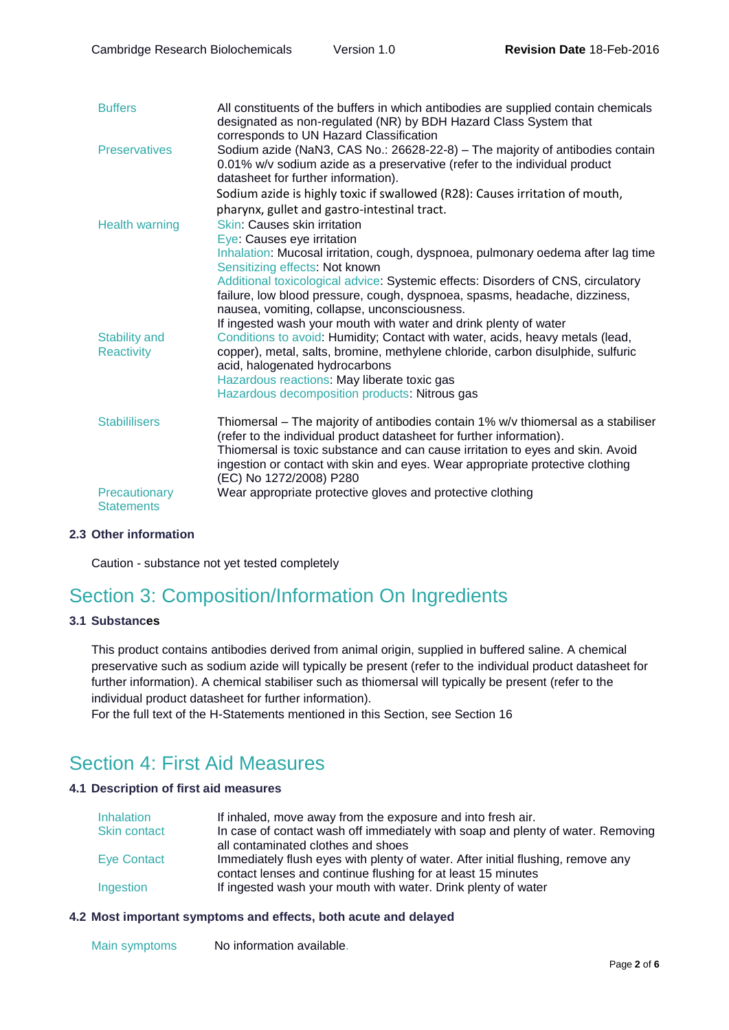| <b>Buffers</b>                            | All constituents of the buffers in which antibodies are supplied contain chemicals<br>designated as non-regulated (NR) by BDH Hazard Class System that<br>corresponds to UN Hazard Classification                                                                                                                                                       |
|-------------------------------------------|---------------------------------------------------------------------------------------------------------------------------------------------------------------------------------------------------------------------------------------------------------------------------------------------------------------------------------------------------------|
| <b>Preservatives</b>                      | Sodium azide (NaN3, CAS No.: 26628-22-8) - The majority of antibodies contain<br>0.01% w/v sodium azide as a preservative (refer to the individual product<br>datasheet for further information).                                                                                                                                                       |
|                                           | Sodium azide is highly toxic if swallowed (R28): Causes irritation of mouth,                                                                                                                                                                                                                                                                            |
|                                           | pharynx, gullet and gastro-intestinal tract.                                                                                                                                                                                                                                                                                                            |
| <b>Health warning</b>                     | <b>Skin: Causes skin irritation</b><br>Eye: Causes eye irritation                                                                                                                                                                                                                                                                                       |
|                                           | Inhalation: Mucosal irritation, cough, dyspnoea, pulmonary oedema after lag time<br>Sensitizing effects: Not known                                                                                                                                                                                                                                      |
|                                           | Additional toxicological advice: Systemic effects: Disorders of CNS, circulatory<br>failure, low blood pressure, cough, dyspnoea, spasms, headache, dizziness,<br>nausea, vomiting, collapse, unconsciousness.<br>If ingested wash your mouth with water and drink plenty of water                                                                      |
| <b>Stability and</b><br><b>Reactivity</b> | Conditions to avoid: Humidity; Contact with water, acids, heavy metals (lead,<br>copper), metal, salts, bromine, methylene chloride, carbon disulphide, sulfuric<br>acid, halogenated hydrocarbons                                                                                                                                                      |
|                                           | Hazardous reactions: May liberate toxic gas                                                                                                                                                                                                                                                                                                             |
|                                           | Hazardous decomposition products: Nitrous gas                                                                                                                                                                                                                                                                                                           |
| <b>Stabililisers</b>                      | Thiomersal – The majority of antibodies contain 1% w/v thiomersal as a stabiliser<br>(refer to the individual product datasheet for further information).<br>Thiomersal is toxic substance and can cause irritation to eyes and skin. Avoid<br>ingestion or contact with skin and eyes. Wear appropriate protective clothing<br>(EC) No 1272/2008) P280 |
| Precautionary<br><b>Statements</b>        | Wear appropriate protective gloves and protective clothing                                                                                                                                                                                                                                                                                              |

### **2.3 Other information**

Caution - substance not yet tested completely

## Section 3: Composition/Information On Ingredients

### **3.1 Substances**

This product contains antibodies derived from animal origin, supplied in buffered saline. A chemical preservative such as sodium azide will typically be present (refer to the individual product datasheet for further information). A chemical stabiliser such as thiomersal will typically be present (refer to the individual product datasheet for further information).

For the full text of the H-Statements mentioned in this Section, see Section 16

## Section 4: First Aid Measures

### **4.1 Description of first aid measures**

| <b>Inhalation</b> | If inhaled, move away from the exposure and into fresh air.                     |
|-------------------|---------------------------------------------------------------------------------|
| Skin contact      | In case of contact wash off immediately with soap and plenty of water. Removing |
|                   | all contaminated clothes and shoes                                              |
| Eye Contact       | Immediately flush eyes with plenty of water. After initial flushing, remove any |
|                   | contact lenses and continue flushing for at least 15 minutes                    |
| Ingestion         | If ingested wash your mouth with water. Drink plenty of water                   |

### **4.2 Most important symptoms and effects, both acute and delayed**

Main symptoms No information available.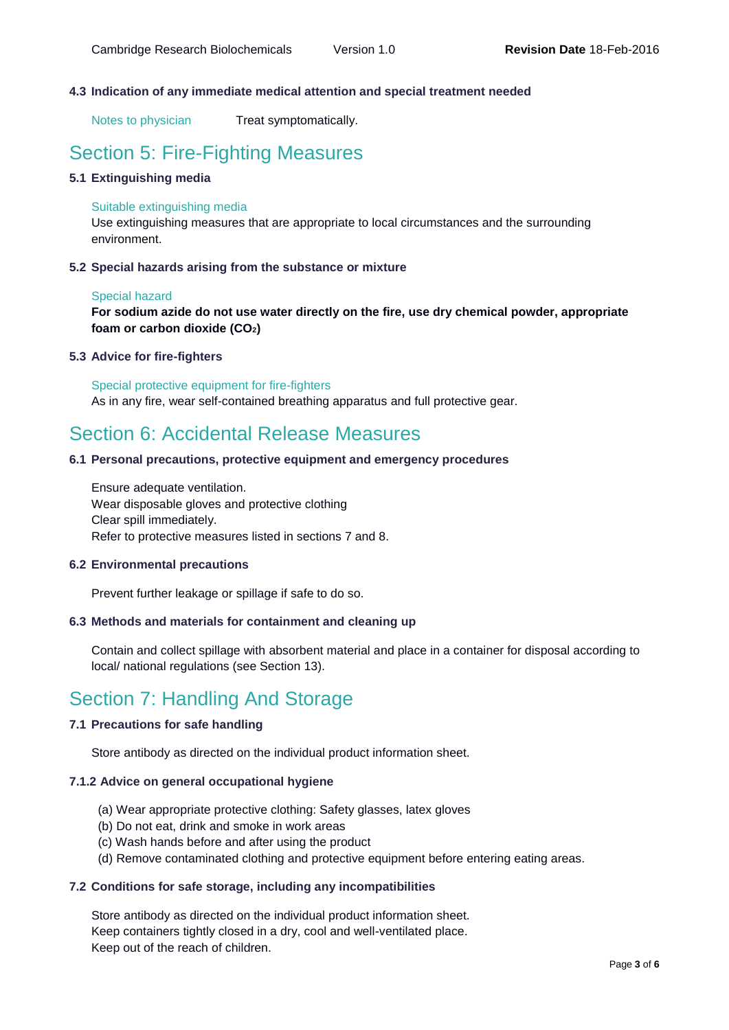### **4.3 Indication of any immediate medical attention and special treatment needed**

Notes to physician Treat symptomatically.

### Section 5: Fire-Fighting Measures

### **5.1 Extinguishing media**

#### Suitable extinguishing media

Use extinguishing measures that are appropriate to local circumstances and the surrounding environment.

#### **5.2 Special hazards arising from the substance or mixture**

#### Special hazard

**For sodium azide do not use water directly on the fire, use dry chemical powder, appropriate foam or carbon dioxide (CO2)**

#### **5.3 Advice for fire-fighters**

Special protective equipment for fire-fighters As in any fire, wear self-contained breathing apparatus and full protective gear.

### Section 6: Accidental Release Measures

### **6.1 Personal precautions, protective equipment and emergency procedures**

Ensure adequate ventilation. Wear disposable gloves and protective clothing Clear spill immediately. Refer to protective measures listed in sections 7 and 8.

#### **6.2 Environmental precautions**

Prevent further leakage or spillage if safe to do so.

#### **6.3 Methods and materials for containment and cleaning up**

Contain and collect spillage with absorbent material and place in a container for disposal according to local/ national regulations (see Section 13).

### Section 7: Handling And Storage

### **7.1 Precautions for safe handling**

Store antibody as directed on the individual product information sheet.

#### **7.1.2 Advice on general occupational hygiene**

- (a) Wear appropriate protective clothing: Safety glasses, latex gloves
- (b) Do not eat, drink and smoke in work areas
- (c) Wash hands before and after using the product
- (d) Remove contaminated clothing and protective equipment before entering eating areas.

### **7.2 Conditions for safe storage, including any incompatibilities**

Store antibody as directed on the individual product information sheet. Keep containers tightly closed in a dry, cool and well-ventilated place. Keep out of the reach of children.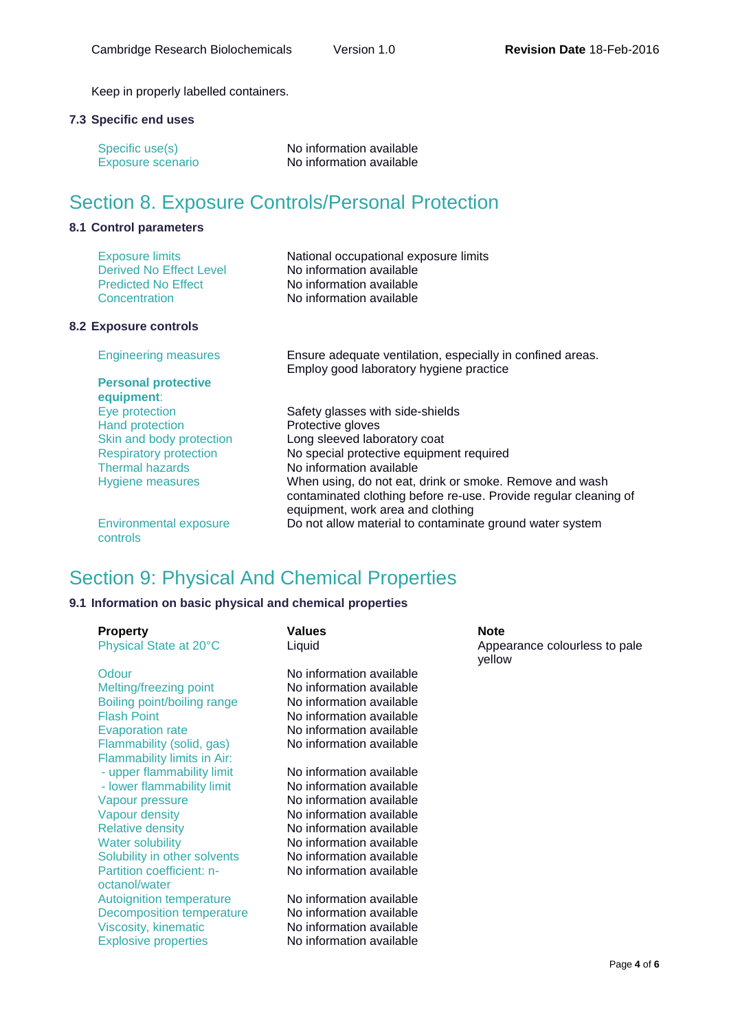Keep in properly labelled containers.

### **7.3 Specific end uses**

| Specific use(s)          | No information available |
|--------------------------|--------------------------|
| <b>Exposure scenario</b> | No information available |

## Section 8. Exposure Controls/Personal Protection

### **8.1 Control parameters**

| <b>Exposure limits</b>     | National occupational exposure limits |  |
|----------------------------|---------------------------------------|--|
| Derived No Effect Level    | No information available              |  |
| <b>Predicted No Effect</b> | No information available              |  |
| Concentration              | No information available              |  |

### **8.2 Exposure controls**

| <b>Engineering measures</b>               | Ensure adequate ventilation, especially in confined areas.<br>Employ good laboratory hygiene practice                                                            |
|-------------------------------------------|------------------------------------------------------------------------------------------------------------------------------------------------------------------|
| <b>Personal protective</b><br>equipment:  |                                                                                                                                                                  |
| Eye protection                            | Safety glasses with side-shields                                                                                                                                 |
| <b>Hand protection</b>                    | Protective gloves                                                                                                                                                |
| Skin and body protection                  | Long sleeved laboratory coat                                                                                                                                     |
| <b>Respiratory protection</b>             | No special protective equipment required                                                                                                                         |
| <b>Thermal hazards</b>                    | No information available                                                                                                                                         |
| <b>Hygiene measures</b>                   | When using, do not eat, drink or smoke. Remove and wash<br>contaminated clothing before re-use. Provide regular cleaning of<br>equipment, work area and clothing |
| <b>Environmental exposure</b><br>controls | Do not allow material to contaminate ground water system                                                                                                         |

## Section 9: Physical And Chemical Properties

### **9.1 Information on basic physical and chemical properties**

| <b>Property</b><br>Physical State at 20°C | <b>Values</b><br>Liquid  | <b>Note</b><br>Appearance colourless to pale<br>yellow |
|-------------------------------------------|--------------------------|--------------------------------------------------------|
| Odour                                     | No information available |                                                        |
| Melting/freezing point                    | No information available |                                                        |
| Boiling point/boiling range               | No information available |                                                        |
| <b>Flash Point</b>                        | No information available |                                                        |
| <b>Evaporation rate</b>                   | No information available |                                                        |
| Flammability (solid, gas)                 | No information available |                                                        |
| Flammability limits in Air:               |                          |                                                        |
| - upper flammability limit                | No information available |                                                        |
| - lower flammability limit                | No information available |                                                        |
| Vapour pressure                           | No information available |                                                        |
| Vapour density                            | No information available |                                                        |
| <b>Relative density</b>                   | No information available |                                                        |
| <b>Water solubility</b>                   | No information available |                                                        |
| Solubility in other solvents              | No information available |                                                        |
| Partition coefficient: n-                 | No information available |                                                        |
| octanol/water                             |                          |                                                        |
| Autoignition temperature                  | No information available |                                                        |
| Decomposition temperature                 | No information available |                                                        |
| Viscosity, kinematic                      | No information available |                                                        |
| <b>Explosive properties</b>               | No information available |                                                        |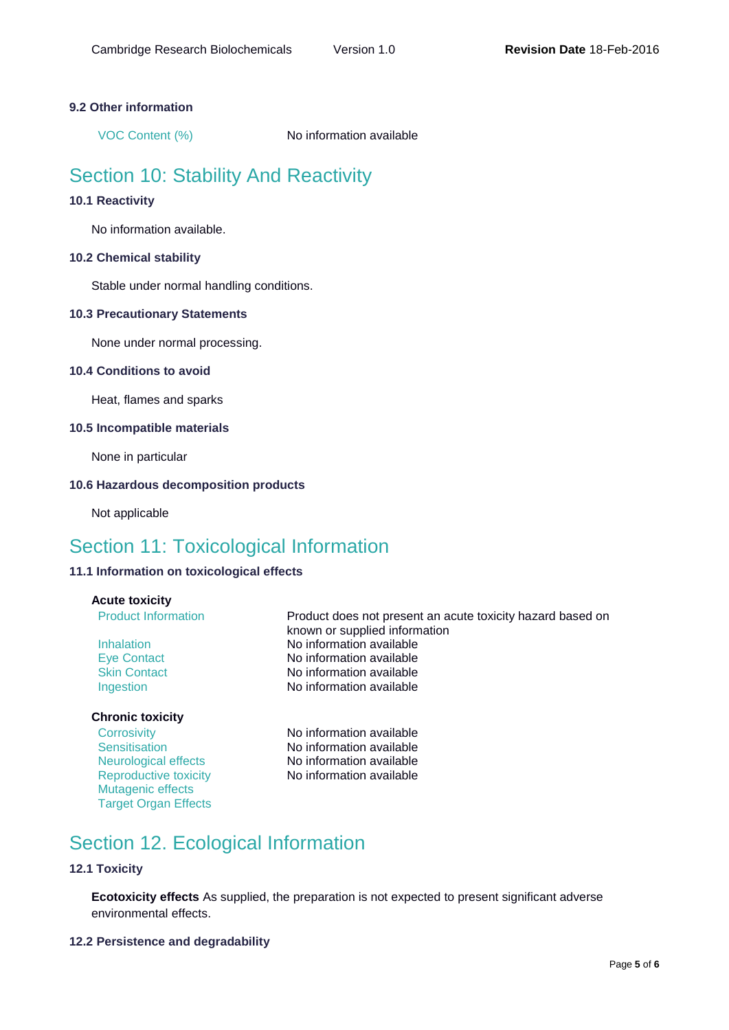### **9.2 Other information**

VOC Content (%) No information available

## Section 10: Stability And Reactivity

### **10.1 Reactivity**

No information available.

### **10.2 Chemical stability**

Stable under normal handling conditions.

### **10.3 Precautionary Statements**

None under normal processing.

### **10.4 Conditions to avoid**

Heat, flames and sparks

### **10.5 Incompatible materials**

None in particular

### **10.6 Hazardous decomposition products**

Not applicable

### Section 11: Toxicological Information

### **11.1 Information on toxicological effects**

### **Acute toxicity**

### **Chronic toxicity**

Mutagenic effects **Target Organ Effects** 

Product Information **Product does not present an acute toxicity hazard based on** known or supplied information Inhalation No information available Eye Contact No information available Skin Contact No information available Ingestion **No information available** 

Corrosivity **No information available** Sensitisation No information available Neurological effects No information available Reproductive toxicity No information available

## Section 12. Ecological Information

### **12.1 Toxicity**

**Ecotoxicity effects** As supplied, the preparation is not expected to present significant adverse environmental effects.

### **12.2 Persistence and degradability**